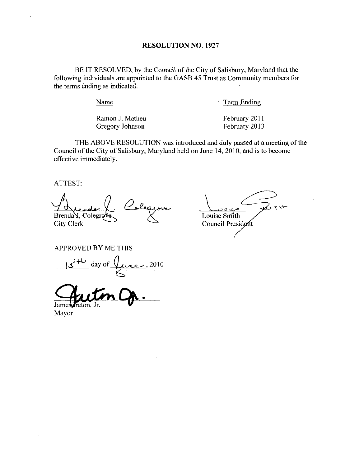BE IT RESOLVED, by the Council of the City of Salisbury, Maryland that the following individuals are appointed to the GASB <sup>45</sup> Trust as Community members for the terms ending as indicated.

Name

Term Ending

Ramon J. Matheu Gregory Johnson

February 2011 February 2013

THE ABOVE RESOLUTION was introduced and duly passed at a meeting of the Council of the City of Salisbury, Maryland held on June 14, 2010, and is to become effective immediately

ATTEST

 $\mathcal{O}_{\bullet}$ Brenda V. Colegrove City Clerk

Louise Smith Council President

APPROVED BY ME THIS

 $d^{\mu}$  day of  $\overline{\mathcal{L}}$ . 2010

James reton, Jr.

Mayor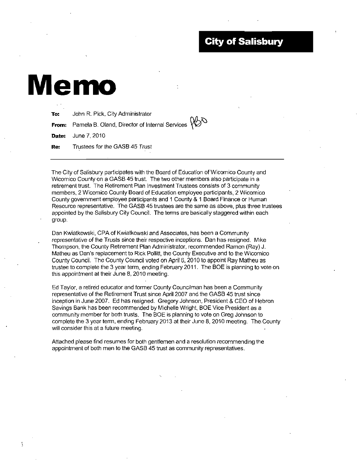## **City of Salisbury**

# Memo

Ñ

| To: | John R. Pick, City Administrator                     |  |
|-----|------------------------------------------------------|--|
|     | From: Pamela B. Oland, Director of Internal Services |  |
|     | <b>Date:</b> June 7, 2010                            |  |
|     | <b>Re:</b> Trustees for the GASB 45 Trust            |  |

The City of Salisbury participates with the Board of Education of Wicomico County and Wicomico County on a GASB 45 trust. The two other members also participate in a retirement trust. The Retirement Plan Investment Trustees consists of 3 community members <sup>2</sup> Wicomico County Board of Education employee participants <sup>2</sup> Wicomico County government employee participants and 1 County & 1 Board Finance or Human Resource representative. The GASB 45 trustees are the same as above, plus three trustees appointed by the Salisbury City Council. The terms are basically staggered within each group

Dan Kwiatkowski, CPA of Kwiatkowski and Associates, has been a Community representative of the Trusts since their respective inceptions. Dan has resigned. Mike Thompson, the County Retirement Plan Administrator, recommended Ramon (Ray) J. Matheu as Dan's replacement to Rick Pollitt, the County Executive and to the Wicomico County Council The County Council voted on April 6 <sup>2010</sup> to appoint Ray Matheu as trustee to complete the 3 year term, ending February 2011. The BOE is planning to vote on this appointment at their June 8, 2010 meeting.

Ed Taylor, a retired educator and former County Councilman has been a Community representative of the Retirement Trust since April 2007 and the GASB 45 trust since inception in June 2007. Ed has resigned. Gregory Johnson, President & CEO of Hebron Savings Bank has been recommended by Michelle Wright, BOE Vice President as a community member for both trusts The BOE is planning to vote on Greg Johnson to complete the 3 year term, ending February 2013 at their June 8, 2010 meeting. The County will consider this at a future meeting.

Attached please find resumes for both gentlemen and a resolution recommending the appointment of both men to the GASB 45 trust as community representatives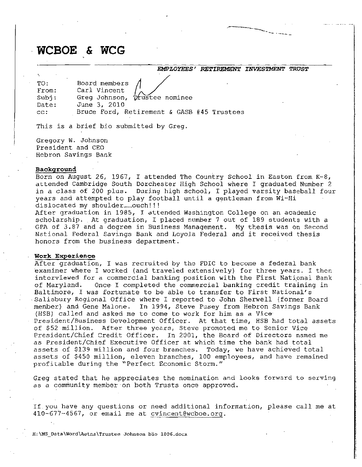WCBOE & WCG

EMPLOYEES' RETIREMENT INVESTMENT TRUST

| TO:<br>From: | Board members $\Lambda$<br>Carl Vincent    |
|--------------|--------------------------------------------|
| Subi:        | Greg Johnson, trustee nominee              |
| Date:        | June 3, 2010                               |
| CC:          | Bruce Ford, Retirement & GASB #45 Trustees |

This is a brief bio submitted by Greg.

Gregory W. Johnson President and CEO Hebron Savings Bank

### Background Backg<br>Doro

Background<br>Born on August 26, 1967, I attended The Country School in Easton from K-8,<br>attended Cambridge South Dorchester High School where I graduated Number 2<br>in a class of 200 plus. During high school. I played varsity round<br>on August 26, 1967, I attended The Country years and attempted noling south butthester high school where I graduated wumber 2<br>of 200 plus. During high school, I played varsity baseball four<br>ttempted to play football until a gentleman from Wi-Hi<br>my shoulder.....ouch!!! years and<br>dislocated dislocated my shoulder.....ouch!!!

ated my shoulder……ouch!!!<br>graduation in 1985, I attended Washington College on an academic<br>rship. At graduation, I placed number 7 out of 189 students with a<br>-3 87 and 3 degree in Business Management... Mu thesis was en Se scholarship. At graduation, I placed number 7 out of 189 students with a GPA of387 and <sup>a</sup> degree in Business Management My thesis was on Second GPA Of 3.07 and a degree in Business Management. My thesis was on Seco<br>National Federal Savings Bank and Loyola Federal and it received thesis<br>honors from the business department.

#### Work Experience

After graduation, I was recruited by the FDIC to become a federal bank After graduation, I was recruited by the FDIC to become a federal bank<br>examiner where I worked (and traveled extensively) for three years. I then<br>interviewed for a commercial banking position with the First National Bank of Maryland interviewed for a commercial banking position with the First National Bank<br>of Maryland. Once I completed the commercial banking credit training in Salisbury Regional Office where I reported to John Sherwell (former Board member) and Gene Malone. In 1994, Steve Pusey from Hebron Savings Bank<br>(HSB) called and asked me to come to work for him as a Vice Baltimore, I was fortunate to be able to transfer to First<br>Salisbury Regional Office where I reported to John Sherwell<br>nucleon and Cana Malaysin Trade of the Press Description fortunate to be able to transfer to it received thesi<br>Deme a federal bank<br>Priche pears. Interpretacy of First National<br>Servell (former Boster)<br>National's<br>Repretacy (former Boster)<br>Reprend Savings Band<br>Reprend Savings Band<br>Reprend Savings Band Henber, and dene i<br>(HSB) called and a<br>President/Business (HSB) called and asked me to come to work for him as a Vice President/Business Development Officer. At that time, HSB had total assets of \$52 million. After three years, Steve promoted me to Senior Vice President/Chief Credit Officer. In 2001, the Board of Directors named me of \$52 million.<br>President/Chief C<br>as President/Chie In 2001, the Board of Directors named me as President/Chief Executive Officer at which time the bank had total<br>assets of \$139 million and four branches. Today, we have achieved total<br>assets of \$450 million, eleven branches, 100 employees, and have remain as President/Chief Executive Officer at which time the bank had total assets of ۶۱۶<br>assets of \$45 assets of \$450 million, eleven branches, 100 employees, and have remained profitable during the "Perfect Economic Storm." as President/Chief Ex<br>assets of \$139 millic<br>assets of \$450 millic<br>profitable during the<br>Greg stated that he a<br>as a community member<br>If you have any quest<br>410-677-4567, or emai<br>H:\MS\_Data\Word\Aetna\Truste

Greg stated that he appreciates the nomination and looks forward to serving as a community member on both Trusts once approved.

If you have any questions or need additional<br>410-677-4567, or email me at <u>cvincent@wcboe.o</u> If you have any questions or need additional information, please call me at If you have any questions or need add<br>410-677-4567, or email me at <u>cvincent</u><br>H:\MS\_Data\Word\Aetna\Trustee Johnson bio 1006.doc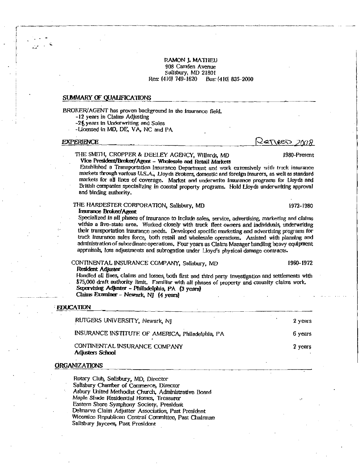RAMON J. MATHEU 908 Camden Avenue Salisbury, MD 21801 Res: (410) 749-1620 Bus: (410) 835-2000

#### SUMMARY OF QUALIFICATIONS

BROKER/AGENT has proven background in the insurance field. -12 years in Claims Adjusting

-28 years in Underwriting and Sales

-Licensed in MD, DE, VA, NC and PA

#### **EXPERIENCE**

#### $Q$ errero 2008

1980-Present

THE SMITH, CROPPER & DEELEY AGENCY, Willards, MD Vice President/Broker/Agent - Wholesale and Retail Markets

Established a Transportation Insurance Department and work extensively with truck insurance markets through various U.S.A., Lloyds Brokers, domestic and foreign insurers, as well as standard markets for all lines of coverage. Market and underwrite insurance programs for Lloyds and British companies specializing in coastal property programs. Hold Lloyds underwriting approval and binding authority.

#### THE HARDESTER CORPORATION, Salisbury, MD Insurance Broker/Agent

Specialized in all phases of insurance to include sales, service, advertising, marketing and claims within a five-state area. Worked closely with truck fleet owners and individuals, underwriting their transportation insurance needs. Developed specific marketing and advertising programs for truck insurance sales force, both retail and wholesale operations. Assisted with planning and administration of subordinate operations. Four years as Claims Manager handling heavy equipment appraisals, loss adjustments and subrogation under Lloyd's physical damage contracts.

#### CONTINENTAL INSURANCE COMPANY, Salisbury, MD Resident Adjuster

Handled all lines, claims and losses, both first and third party investigation and settlements with \$75,000 draft authority limit. Familiar with all phases of property and casualty claims work. Supervising Adjuster - Philadelphia, PA (3 years) Claims Examiner - Newark, NJ (4 years)

#### EDUCATION

| RUTGERS UNIVERSITY, Newark, NJ                    | 2 years |
|---------------------------------------------------|---------|
| INSURANCE INSTITUTE OF AMERICA, Philadelphia, PA  | 6 years |
| CONTINENTAL INSURANCE COMPANY<br>Adjusters School | 2 years |

#### **ORGANIZATIONS**

Rotary Club, Salisbury, MD, Director Sallsbury Chamber of Commerce, Director Asbury United Methodist Church, Administrative Board Maple Shade Residential Homes, Treasurer Eastern Shore Symphony Society, President Delmarva Claim Adjuster Association, Past President Wicomico Republican Central Committee, Past Chairman Salisbury Jaycees, Past President

1972-1980

1960-1972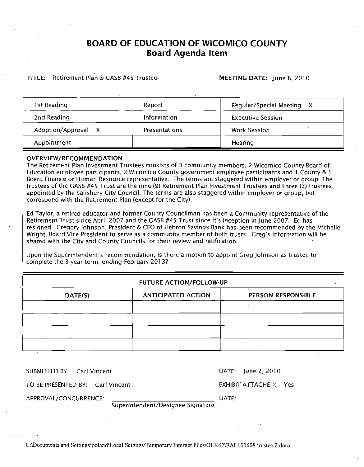## BOARD OF EDUCATION OF WICOMICO COUNTY Board Agenda Item

#### TITLE: Retirement Plan & GASB #45 Trustee MEETING DATE: June 8, 2010

| 1 st Reading        | Report               | Regular/Special Meeting<br>X |
|---------------------|----------------------|------------------------------|
| 2nd Reading         | <b>Information</b>   | <b>Executive Session</b>     |
| Adoption/Approval X | <b>Presentations</b> | <b>Work Session</b>          |
| Appointment         |                      | Hearing                      |

#### OVERVIEW/RECOMMENDATION

The Retirement Plan Investment Trustees consists of <sup>3</sup> community members <sup>2</sup> Wicomico County Board of Education employee participants, 2 Wicomico County government employee participants and 1 County & 1 Board Finance or Human Resource representative. The terms are staggered within employer or group. The trustees<br>trustees of the GASB #45 Trust are the nine (9) Retirement Plan Investment Trustees and three (3) trustees appointed by the Salisbury City Council. The terms are also staggered within employer or group, but correspond with the Retirement Plan (except for the City).

Ed Taylor, a retired educator and former County Councilman has been a Community representative of the Retirement Trust since April 2007 and the GASB #45 Trust since it's inception in June 2007. Ed has resigned. Gregory Johnson, President & CEO of Hebron Savings Bank has been recommended by the Michelle Ed Taylor, a retired educator and former County Councilman has been a Community representative of the<br>Retirement Trust since April 2007 and the GASB #45 Trust since it's inception in June 2007. Ed has<br>resigned. Gregory Joh Wright, Board Vice President to serve as a community member of both trusts. Greg's information will be shared with the City and County Councils for their review and ratification. It trustees of the GASB #45 Trust are the nine (9) Retirement Plan Investment Trustees and three (3) true appointed by the Salisbury City Council. The terms are also staggered within employer or group, but correspond with

complete the 3 year term, ending February 2013? Upon the Superintendent's recommendation, is there a motion to appoint Greg Johnson as trustee to complete the 3 year term, ending February 2013?

|         | FUTURE ACTION/FOLLOW-UP   |                    |  |  |
|---------|---------------------------|--------------------|--|--|
| DATE(S) | <b>ANTICIPATED ACTION</b> | PERSON RESPONSIBLE |  |  |
|         |                           |                    |  |  |
|         |                           |                    |  |  |
|         |                           |                    |  |  |

SUBMITTED BY: Carl Vincent

DATE: June 2, 2010

TO BE PRESENTED BY: Carl Vincent

EXHIBIT ATTACHED: Yes

APPROVAL/CONCURRENCE: The contract of the contract of the contract of the contract of the contract of the contract of the contract of the contract of the contract of the contract of the contract of the contract of the cont

Superintendent/Designee Signature

C:\Documents and Settings\poland\Local Settings\Temporary Internet Files\OLK62\BAI 100608 trustee 2.docx